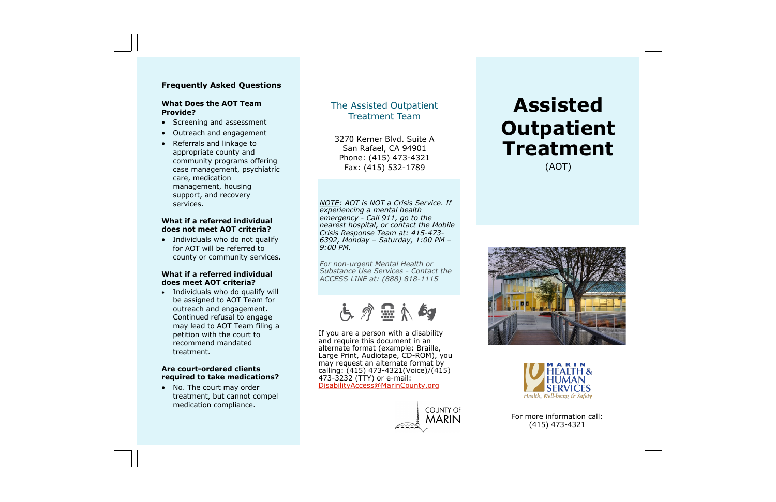# **Assisted Outpatient Treatment** (AOT)





## **Frequently Asked Questions**

### **What Does the AOT Team Provide?**

- Screening and assessment
- Outreach and engagement
- Referrals and linkage to appropriate county and community programs offering case management, psychiatric care, medication management, housing support, and recovery services.

## **What if a referred individual does not meet AOT criteria?**

• Individuals who do not qualify for AOT will be referred to county or community services.

## **What if a referred individual does meet AOT criteria?**

• Individuals who do qualify will be assigned to AOT Team for outreach and engagement. Continued refusal to engage may lead to AOT Team filing a petition with the court to recommend mandated treatment.

## **Are court-ordered clients required to take medications?**

• No. The court may order treatment, but cannot compel medication compliance.

If you are a person with a disability and require this document in an alternate format (example: Braille, Large Print, Audiotape, CD-ROM), you may request an alternate format by calling: (415) 473-4321(Voice)/(415) 473-3232 (TTY) or e-mail: [DisabilityAccess@MarinCounty.org](mailto:DisabilityAccess@MarinCounty.org)



# The Assisted Outpatient Treatment Team

3270 Kerner Blvd. Suite A San Rafael, CA 94901 Phone: (415) 473-4321 Fax: (415) 532-1789

*NOTE: AOT is NOT a Crisis Service. If experiencing a mental health emergency - Call 911, go to the nearest hospital, or contact the Mobile Crisis Response Team at: 415-473- 6392, Monday – Saturday, 1:00 PM – 9:00 PM.*

*For non-urgent Mental Health or Substance Use Services - Contact the ACCESS LINE at: (888) 818-1115*

占今显太与

For more information call: (415) 473-4321